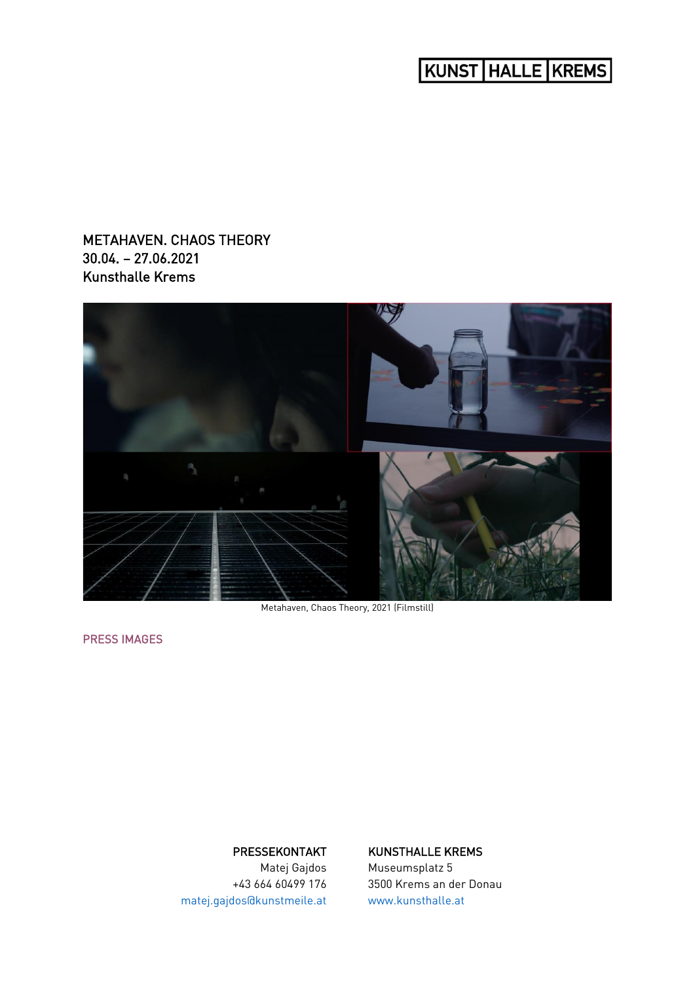# KUNST | HALLE | KREMS |

# METAHAVEN. CHAOS THEORY 30.04. – 27.06.2021 Kunsthalle Krems



Metahaven, Chaos Theory, 2021 (Filmstill)

[PRESS IMAGES](https://celum.noeku.at/pinaccess/pinaccess.do?pinCode=2021DF_Metahaven_ChaosTheory) 

## PRESSEKONTAKT

Matej Gajdos +43 664 60499 176 [matej.gajdos@kunstmeile.at](mailto:matej.gajdos@kunstmeile.at)

## KUNSTHALLE KREMS

Museumsplatz 5 3500 Krems an der Donau [www.kunsthalle.at](http://www.kunsthalle.at/)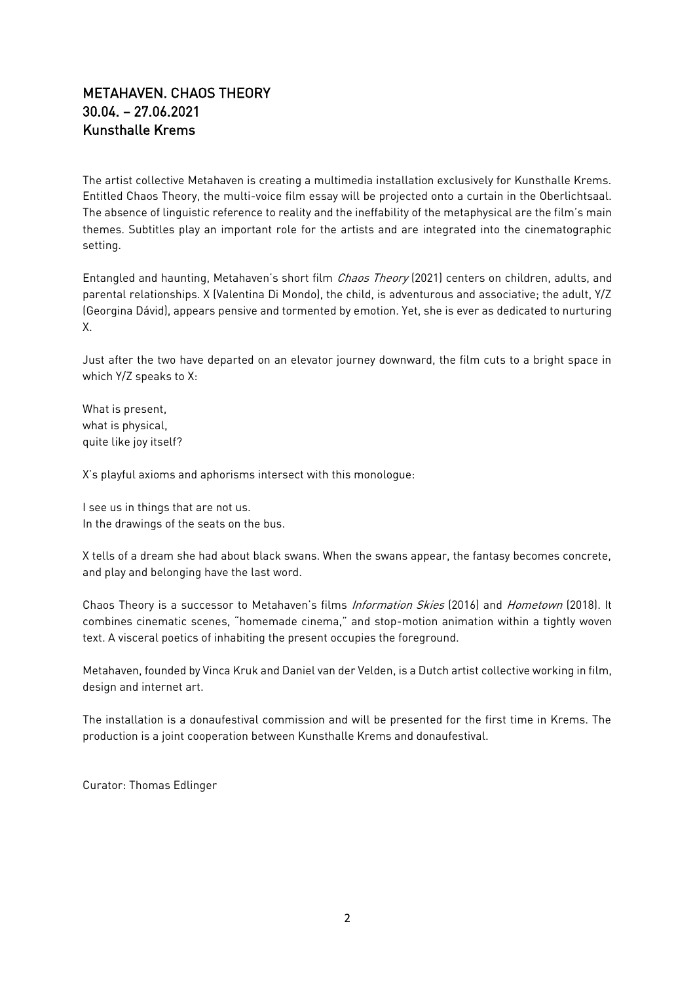## METAHAVEN. CHAOS THEORY 30.04. – 27.06.2021 Kunsthalle Krems

The artist collective Metahaven is creating a multimedia installation exclusively for Kunsthalle Krems. Entitled Chaos Theory, the multi-voice film essay will be projected onto a curtain in the Oberlichtsaal. The absence of linguistic reference to reality and the ineffability of the metaphysical are the film's main themes. Subtitles play an important role for the artists and are integrated into the cinematographic setting.

Entangled and haunting, Metahaven's short film *Chaos Theory* (2021) centers on children, adults, and parental relationships. X (Valentina Di Mondo), the child, is adventurous and associative; the adult, Y/Z (Georgina Dávid), appears pensive and tormented by emotion. Yet, she is ever as dedicated to nurturing X.

Just after the two have departed on an elevator journey downward, the film cuts to a bright space in which Y/Z speaks to X:

What is present, what is physical, quite like joy itself?

X's playful axioms and aphorisms intersect with this monologue:

I see us in things that are not us. In the drawings of the seats on the bus.

X tells of a dream she had about black swans. When the swans appear, the fantasy becomes concrete, and play and belonging have the last word.

Chaos Theory is a successor to Metahaven's films Information Skies (2016) and Hometown (2018). It combines cinematic scenes, "homemade cinema," and stop-motion animation within a tightly woven text. A visceral poetics of inhabiting the present occupies the foreground.

Metahaven, founded by Vinca Kruk and Daniel van der Velden, is a Dutch artist collective working in film, design and internet art.

The installation is a donaufestival commission and will be presented for the first time in Krems. The production is a joint cooperation between Kunsthalle Krems and donaufestival.

Curator: Thomas Edlinger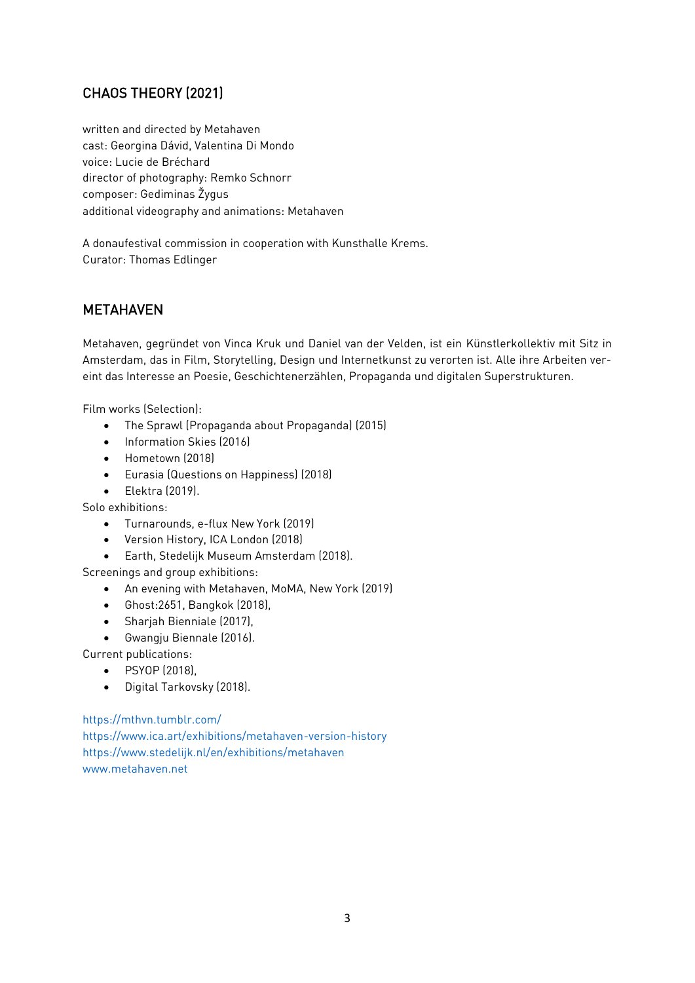# CHAOS THEORY (2021)

written and directed by Metahaven cast: Georgina Dávid, Valentina Di Mondo voice: Lucie de Bréchard director of photography: Remko Schnorr composer: Gediminas Žygus additional videography and animations: Metahaven

A donaufestival commission in cooperation with Kunsthalle Krems. Curator: Thomas Edlinger

# METAHAVEN

Metahaven, gegründet von Vinca Kruk und Daniel van der Velden, ist ein Künstlerkollektiv mit Sitz in Amsterdam, das in Film, Storytelling, Design und Internetkunst zu verorten ist. Alle ihre Arbeiten vereint das Interesse an Poesie, Geschichtenerzählen, Propaganda und digitalen Superstrukturen.

Film works (Selection):

- The Sprawl (Propaganda about Propaganda) (2015)
- Information Skies (2016)
- Hometown (2018)
- Eurasia (Questions on Happiness) (2018)
- Elektra (2019).

Solo exhibitions:

- Turnarounds, e-flux New York (2019)
- Version History, ICA London (2018)
- Earth, Stedelijk Museum Amsterdam (2018).

Screenings and group exhibitions:

- An evening with Metahaven, MoMA, New York (2019)
- Ghost:2651, Bangkok (2018),
- Sharjah Bienniale (2017),
- Gwangju Biennale (2016).

Current publications:

- PSYOP (2018),
- Digital Tarkovsky (2018).

<https://mthvn.tumblr.com/>

<https://www.ica.art/exhibitions/metahaven-version-history> <https://www.stedelijk.nl/en/exhibitions/metahaven> [www.metahaven.net](http://www.metahaven.net/)